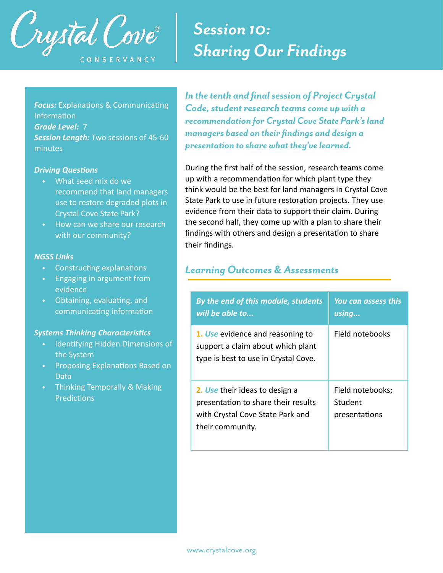

**Focus:** Explanations & Communicating Information *Grade Level:* 7 *Session Length:* Two sessions of 45-60 minutes

#### *Driving Questions*

- What seed mix do we recommend that land managers use to restore degraded plots in Crystal Cove State Park?
- How can we share our research with our community?

#### *NGSS Links*

- Constructing explanations
- Engaging in argument from evidence
- Obtaining, evaluating, and communicating information

#### *Systems Thinking Characteristics*

- Identifying Hidden Dimensions of the System
- Proposing Explanations Based on Data
- Thinking Temporally & Making **Predictions**

## *Session 10: Sharing Our Findings*

*In the tenth and final session of Project Crystal Code, student research teams come up with a recommendation for Crystal Cove State Park's land managers based on their findings and design a presentation to share what they've learned.* 

During the first half of the session, research teams come up with a recommendation for which plant type they think would be the best for land managers in Crystal Cove State Park to use in future restoration projects. They use evidence from their data to support their claim. During the second half, they come up with a plan to share their findings with others and design a presentation to share their findings.

#### *Learning Outcomes & Assessments*

| By the end of this module, students<br>will be able to                                                                        | You can assess this<br>using                 |  |
|-------------------------------------------------------------------------------------------------------------------------------|----------------------------------------------|--|
| 1. Use evidence and reasoning to<br>support a claim about which plant<br>type is best to use in Crystal Cove.                 | Field notebooks                              |  |
| 2. Use their ideas to design a<br>presentation to share their results<br>with Crystal Cove State Park and<br>their community. | Field notebooks;<br>Student<br>presentations |  |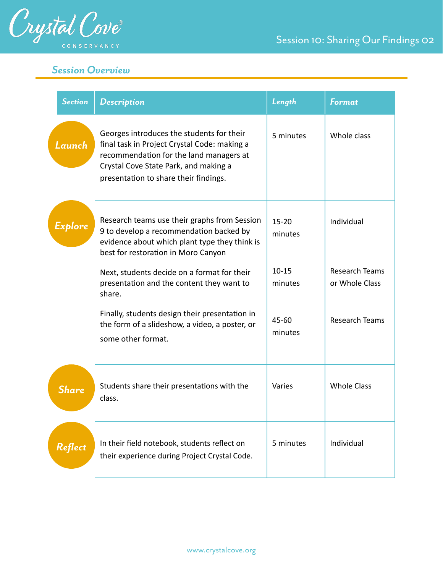

#### *Session Overview*

| <b>Section</b> | <b>Description</b>                                                                                                                                                                                                     | Length               | <b>Format</b>                           |
|----------------|------------------------------------------------------------------------------------------------------------------------------------------------------------------------------------------------------------------------|----------------------|-----------------------------------------|
| Launch         | Georges introduces the students for their<br>final task in Project Crystal Code: making a<br>recommendation for the land managers at<br>Crystal Cove State Park, and making a<br>presentation to share their findings. | 5 minutes            | Whole class                             |
| Explore        | Research teams use their graphs from Session<br>9 to develop a recommendation backed by<br>evidence about which plant type they think is<br>best for restoration in Moro Canyon                                        | $15 - 20$<br>minutes | Individual                              |
|                | Next, students decide on a format for their<br>presentation and the content they want to<br>share.                                                                                                                     | $10 - 15$<br>minutes | <b>Research Teams</b><br>or Whole Class |
|                | Finally, students design their presentation in<br>the form of a slideshow, a video, a poster, or<br>some other format.                                                                                                 | 45-60<br>minutes     | <b>Research Teams</b>                   |
| <b>Share</b>   | Students share their presentations with the<br>class.                                                                                                                                                                  | Varies               | <b>Whole Class</b>                      |
| Reflect        | In their field notebook, students reflect on<br>their experience during Project Crystal Code.                                                                                                                          | 5 minutes            | Individual                              |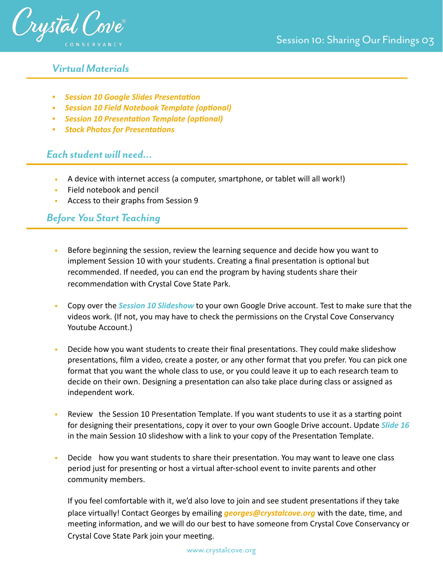

#### *Virtual Materials*

- *• [Session 10 Google Slides Presentation](https://docs.google.com/presentation/d/17m6kMYIdICNMNx2Vtmo4IK-K-wlgJUGiNAI9KNtVTcE/edit?usp=sharing)*
- *• [Session 10 Field Notebook Template \(optional\)](https://docs.google.com/document/d/1QhJ5OG7xh_fogLSMjo5Lmyvn5HIOlZSTs4ZW_mzE85M/edit?usp=sharing)*
- *• [Session 10 Presentation Template \(optional\)](https://docs.google.com/presentation/d/1CTPQWLUKsy5DHjOD71i2T_aUbYO66LKnVpGIKi_Qcq0/edit?usp=sharing)*
- *• [Stock Photos for Presentations](https://drive.google.com/drive/folders/1k6hEQg5FatG38_RzpmNGZb1ojRx4OMfa?usp=sharing)*

#### *Each student will need…*

- A device with internet access (a computer, smartphone, or tablet will all work!)
- Field notebook and pencil
- Access to their graphs from Session 9

#### *Before You Start Teaching*

- Before beginning the session, review the learning sequence and decide how you want to implement Session 10 with your students. Creating a final presentation is optional but recommended. If needed, you can end the program by having students share their recommendation with Crystal Cove State Park.
- Copy over the *Session 10 Slideshow* to your own Google Drive account. Test to make sure that the videos work. (If not, you may have to check the permissions on the Crystal Cove Conservancy Youtube Account.)
- Decide how you want students to create their final presentations. They could make slideshow presentations, film a video, create a poster, or any other format that you prefer. You can pick one format that you want the whole class to use, or you could leave it up to each research team to decide on their own. Designing a presentation can also take place during class or assigned as independent work.
- Review the Session 10 Presentation Template. If you want students to use it as a starting point for designing their presentations, copy it over to your own Google Drive account. Update *Slide 16* in the main Session 10 slideshow with a link to your copy of the Presentation Template.
- Decide how you want students to share their presentation. You may want to leave one class period just for presenting or host a virtual after-school event to invite parents and other community members.

If you feel comfortable with it, we'd also love to join and see student presentations if they take place virtually! Contact Georges by emailing *[georges@crystalcove.org](mailto:georges@crystalcove.org)* with the date, time, and meeting information, and we will do our best to have someone from Crystal Cove Conservancy or Crystal Cove State Park join your meeting.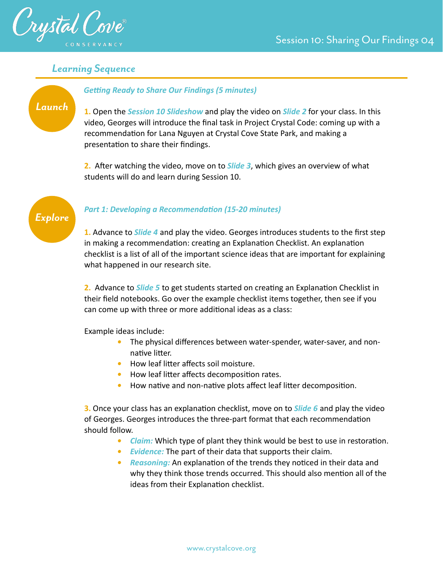

#### *Learning Sequence*

#### *Getting Ready to Share Our Findings (5 minutes)*

*Launch*

**1.** Open the *Session 10 Slideshow* and play the video on *Slide 2* for your class. In this video, Georges will introduce the final task in Project Crystal Code: coming up with a recommendation for Lana Nguyen at Crystal Cove State Park, and making a presentation to share their findings.

**2.** After watching the video, move on to *Slide 3*, which gives an overview of what students will do and learn during Session 10.



#### *Part 1: Developing a Recommendation (15-20 minutes)*

**1.** Advance to *Slide 4* and play the video. Georges introduces students to the first step in making a recommendation: creating an Explanation Checklist. An explanation checklist is a list of all of the important science ideas that are important for explaining what happened in our research site.

**2.** Advance to *Slide 5* to get students started on creating an Explanation Checklist in their field notebooks. Go over the example checklist items together, then see if you can come up with three or more additional ideas as a class:

Example ideas include:

- *•* The physical differences between water-spender, water-saver, and nonnative litter.
- *•* How leaf litter affects soil moisture.
- *•* How leaf litter affects decomposition rates.
- *•* How native and non-native plots affect leaf litter decomposition.

**3.** Once your class has an explanation checklist, move on to *Slide 6* and play the video of Georges. Georges introduces the three-part format that each recommendation should follow.

- *• Claim:* Which type of plant they think would be best to use in restoration.
- *• Evidence:* The part of their data that supports their claim.
- *• Reasoning:* An explanation of the trends they noticed in their data and why they think those trends occurred. This should also mention all of the ideas from their Explanation checklist.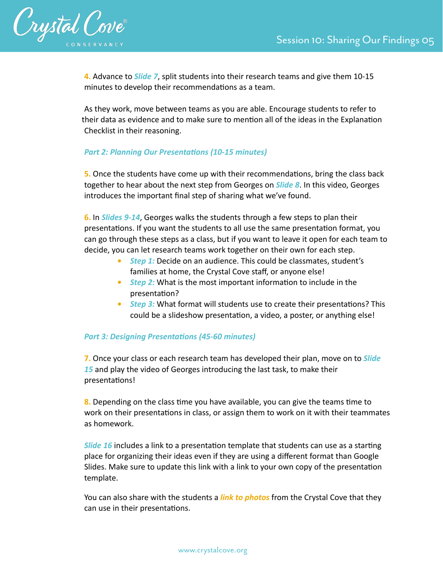

**4.** Advance to *Slide 7*, split students into their research teams and give them 10-15 minutes to develop their recommendations as a team.

As they work, move between teams as you are able. Encourage students to refer to their data as evidence and to make sure to mention all of the ideas in the Explanation Checklist in their reasoning.

#### *Part 2: Planning Our Presentations (10-15 minutes)*

**5.** Once the students have come up with their recommendations, bring the class back together to hear about the next step from Georges on *Slide 8*. In this video, Georges introduces the important final step of sharing what we've found.

**6.** In *Slides 9-14*, Georges walks the students through a few steps to plan their presentations. If you want the students to all use the same presentation format, you can go through these steps as a class, but if you want to leave it open for each team to decide, you can let research teams work together on their own for each step.

- *• Step 1:* Decide on an audience. This could be classmates, student's families at home, the Crystal Cove staff, or anyone else!
- *• Step 2:* What is the most important information to include in the presentation?
- *• Step 3:* What format will students use to create their presentations? This could be a slideshow presentation, a video, a poster, or anything else!

#### *Part 3: Designing Presentations (45-60 minutes)*

**7.** Once your class or each research team has developed their plan, move on to *Slide 15* and play the video of Georges introducing the last task, to make their presentations!

**8.** Depending on the class time you have available, you can give the teams time to work on their presentations in class, or assign them to work on it with their teammates as homework.

*Slide 16* includes a link to a presentation template that students can use as a starting place for organizing their ideas even if they are using a different format than Google Slides. Make sure to update this link with a link to your own copy of the presentation template.

You can also share with the students a *[link to photos](https://drive.google.com/drive/folders/1k6hEQg5FatG38_RzpmNGZb1ojRx4OMfa?usp=sharing)* from the Crystal Cove that they can use in their presentations.